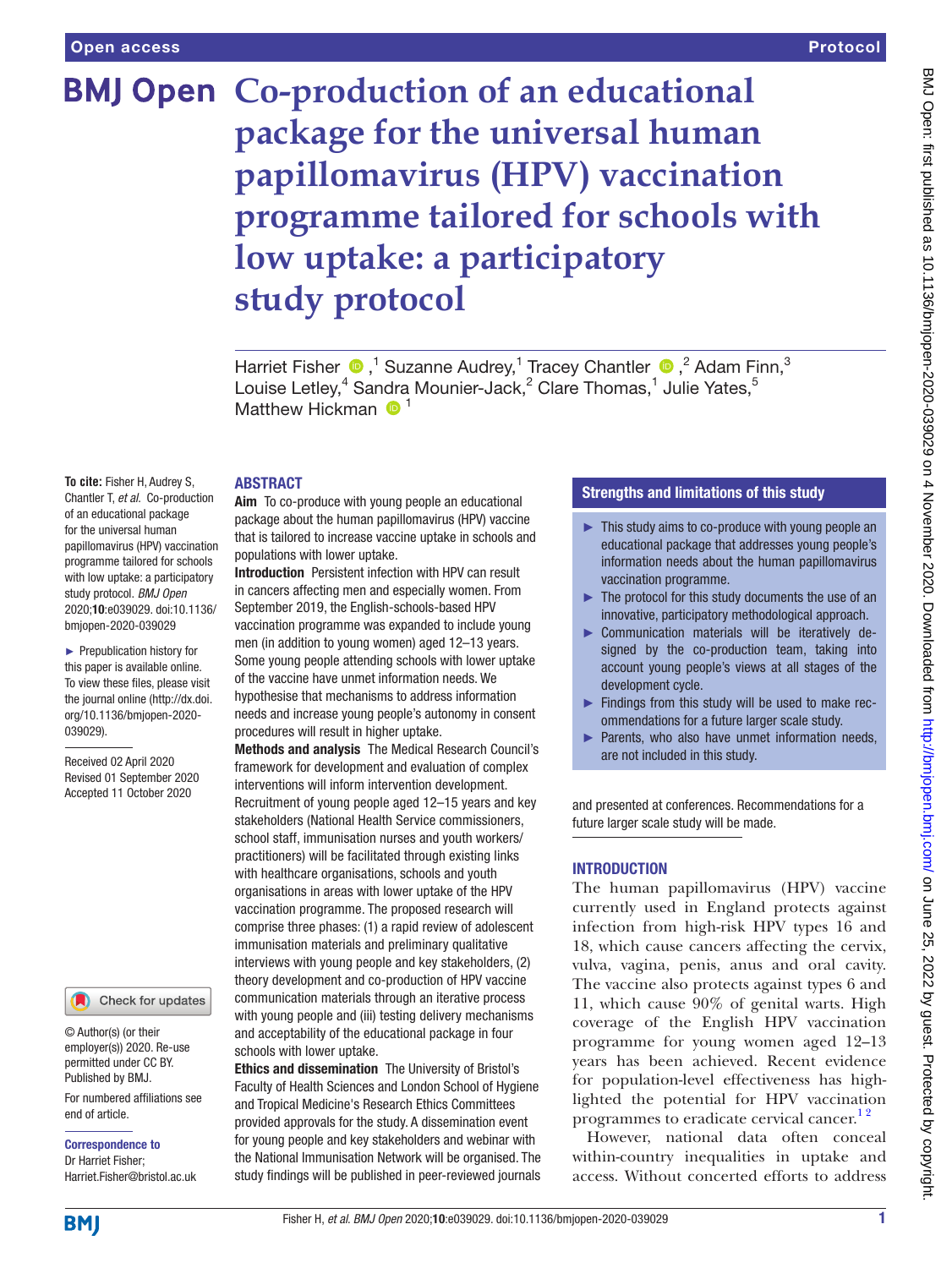# **BMJ Open Co-production of an educational package for the universal human papillomavirus (HPV) vaccination programme tailored for schools with low uptake: a participatory study protocol**

HarrietFisher <sup>®</sup>,<sup>1</sup> Suzanne Audrey,<sup>1</sup> Tracey Chantler <sup>®</sup>,<sup>2</sup> Adam Finn,<sup>3</sup> Louise Letley,<sup>4</sup> Sandra Mounier-Jack,<sup>2</sup> Clare Thomas,<sup>1</sup> Julie Yates,<sup>5</sup> Matthew Hickman  $\mathbf{0}^1$ 

# **ABSTRACT**

**To cite:** Fisher H, Audrey S, Chantler T, *et al*. Co-production of an educational package for the universal human papillomavirus (HPV) vaccination programme tailored for schools with low uptake: a participatory study protocol. *BMJ Open* 2020;10:e039029. doi:10.1136/ bmjopen-2020-039029

► Prepublication history for this paper is available online. To view these files, please visit the journal online (http://dx.doi. org/10.1136/bmjopen-2020- 039029).

Received 02 April 2020 Revised 01 September 2020 Accepted 11 October 2020

# Check for updates

© Author(s) (or their employer(s)) 2020. Re-use permitted under CC BY. Published by BMJ.

For numbered affiliations see end of article.

Correspondence to Dr Harriet Fisher; Harriet.Fisher@bristol.ac.uk Aim To co-produce with young people an educational package about the human papillomavirus (HPV) vaccine that is tailored to increase vaccine uptake in schools and populations with lower uptake.

Introduction Persistent infection with HPV can result in cancers affecting men and especially women. From September 2019, the English-schools-based HPV vaccination programme was expanded to include young men (in addition to young women) aged 12–13 years. Some young people attending schools with lower uptake of the vaccine have unmet information needs. We hypothesise that mechanisms to address information needs and increase young people's autonomy in consent procedures will result in higher uptake.

Methods and analysis The Medical Research Council's framework for development and evaluation of complex interventions will inform intervention development. Recruitment of young people aged 12–15 years and key stakeholders (National Health Service commissioners, school staff, immunisation nurses and youth workers/ practitioners) will be facilitated through existing links with healthcare organisations, schools and youth organisations in areas with lower uptake of the HPV vaccination programme. The proposed research will comprise three phases: (1) a rapid review of adolescent immunisation materials and preliminary qualitative interviews with young people and key stakeholders, (2) theory development and co-production of HPV vaccine communication materials through an iterative process with young people and (iii) testing delivery mechanisms and acceptability of the educational package in four schools with lower uptake.

Ethics and dissemination The University of Bristol's Faculty of Health Sciences and London School of Hygiene and Tropical Medicine's Research Ethics Committees provided approvals for the study. A dissemination event for young people and key stakeholders and webinar with the National Immunisation Network will be organised. The study findings will be published in peer-reviewed journals

# Strengths and limitations of this study

- $\blacktriangleright$  This study aims to co-produce with young people an educational package that addresses young people's information needs about the human papillomavirus vaccination programme.
- ► The protocol for this study documents the use of an innovative, participatory methodological approach.
- ► Communication materials will be iteratively designed by the co-production team, taking into account young people's views at all stages of the development cycle.
- ► Findings from this study will be used to make recommendations for a future larger scale study.
- ▶ Parents, who also have unmet information needs, are not included in this study.

and presented at conferences. Recommendations for a future larger scale study will be made.

# **INTRODUCTION**

The human papillomavirus (HPV) vaccine currently used in England protects against infection from high-risk HPV types 16 and 18, which cause cancers affecting the cervix, vulva, vagina, penis, anus and oral cavity. The vaccine also protects against types 6 and 11, which cause 90% of genital warts. High coverage of the English HPV vaccination programme for young women aged 12–13 years has been achieved. Recent evidence for population-level effectiveness has highlighted the potential for HPV vaccination programmes to eradicate cervical cancer.<sup>12</sup>

However, national data often conceal within-country inequalities in uptake and access. Without concerted efforts to address

**BMI**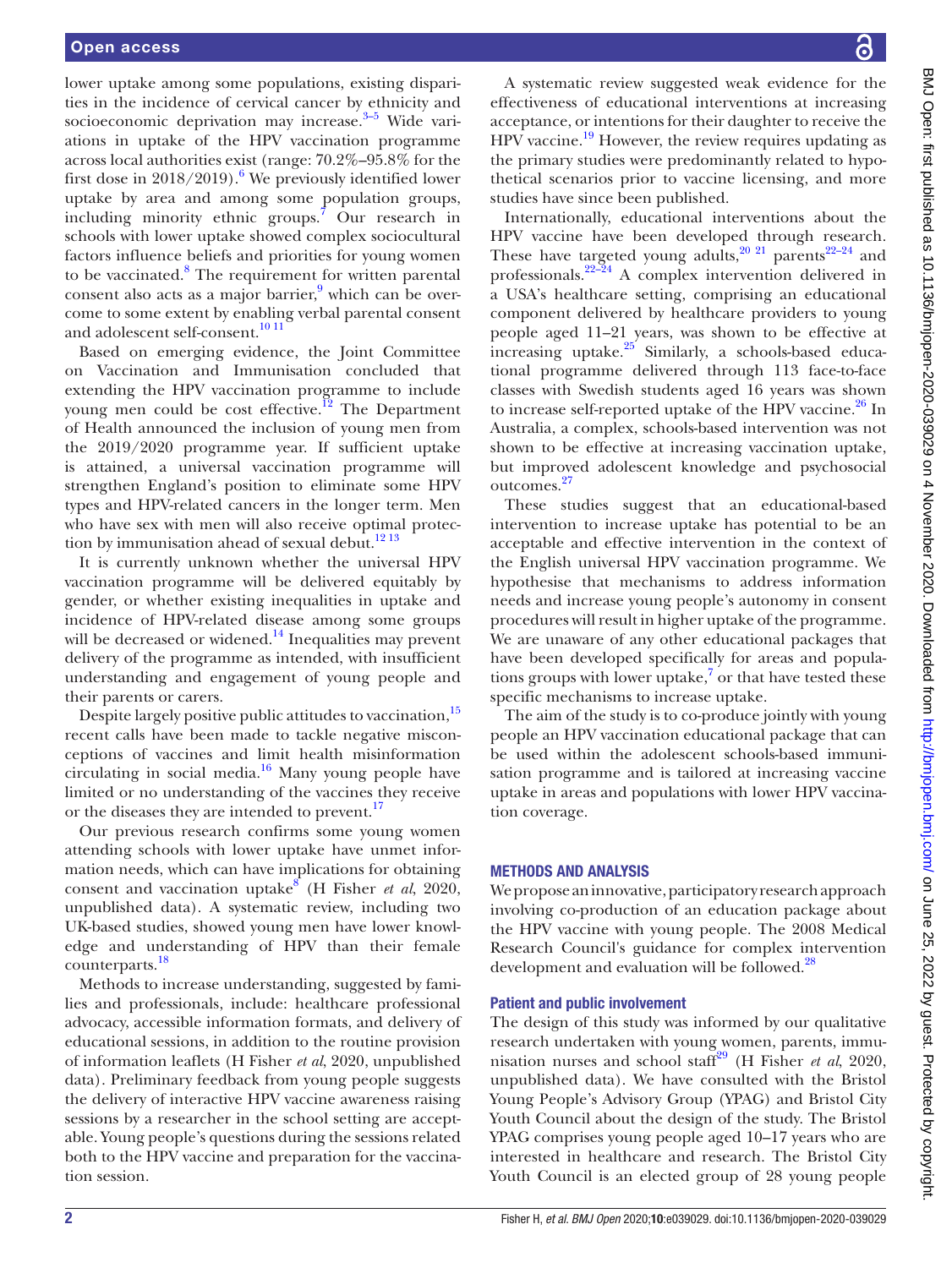lower uptake among some populations, existing disparities in the incidence of cervical cancer by ethnicity and socioeconomic deprivation may increase. $3-5$  Wide variations in uptake of the HPV vaccination programme across local authorities exist (range: 70.2%–95.8% for the first dose in  $2018/2019$ .<sup>[6](#page-3-2)</sup> We previously identified lower uptake by area and among some population groups, including minority ethnic groups.<sup>7</sup> Our research in schools with lower uptake showed complex sociocultural factors influence beliefs and priorities for young women to be vaccinated.<sup>[8](#page-4-1)</sup> The requirement for written parental consent also acts as a major barrier,<sup>[9](#page-4-2)</sup> which can be overcome to some extent by enabling verbal parental consent and adolescent self-consent.[10 11](#page-4-3)

Based on emerging evidence, the Joint Committee on Vaccination and Immunisation concluded that extending the HPV vaccination programme to include young men could be cost effective.<sup>[12](#page-4-4)</sup> The Department of Health announced the inclusion of young men from the 2019/2020 programme year. If sufficient uptake is attained, a universal vaccination programme will strengthen England's position to eliminate some HPV types and HPV-related cancers in the longer term. Men who have sex with men will also receive optimal protection by immunisation ahead of sexual debut. $1213$ 

It is currently unknown whether the universal HPV vaccination programme will be delivered equitably by gender, or whether existing inequalities in uptake and incidence of HPV-related disease among some groups will be decreased or widened. $14$  Inequalities may prevent delivery of the programme as intended, with insufficient understanding and engagement of young people and their parents or carers.

Despite largely positive public attitudes to vaccination, $^{15}$ recent calls have been made to tackle negative misconceptions of vaccines and limit health misinformation circulating in social media. $16$  Many young people have limited or no understanding of the vaccines they receive or the diseases they are intended to prevent.<sup>17</sup>

Our previous research confirms some young women attending schools with lower uptake have unmet information needs, which can have implications for obtaining consent and vaccination uptake<sup>[8](#page-4-1)</sup> (H Fisher *et al*, 2020, unpublished data). A systematic review, including two UK-based studies, showed young men have lower knowledge and understanding of HPV than their female counterparts.<sup>[18](#page-4-9)</sup>

Methods to increase understanding, suggested by families and professionals, include: healthcare professional advocacy, accessible information formats, and delivery of educational sessions, in addition to the routine provision of information leaflets (H Fisher *et al*, 2020, unpublished data). Preliminary feedback from young people suggests the delivery of interactive HPV vaccine awareness raising sessions by a researcher in the school setting are acceptable. Young people's questions during the sessions related both to the HPV vaccine and preparation for the vaccination session.

A systematic review suggested weak evidence for the effectiveness of educational interventions at increasing acceptance, or intentions for their daughter to receive the  $HPV$  vaccine.<sup>19</sup> However, the review requires updating as the primary studies were predominantly related to hypothetical scenarios prior to vaccine licensing, and more studies have since been published.

Internationally, educational interventions about the HPV vaccine have been developed through research. These have targeted young adults,<sup>20 21</sup> parents<sup>22–24</sup> and professionals. $22-\overline{24}$  A complex intervention delivered in a USA's healthcare setting, comprising an educational component delivered by healthcare providers to young people aged 11–21 years, was shown to be effective at increasing uptake. $25$  Similarly, a schools-based educational programme delivered through 113 face-to-face classes with Swedish students aged 16 years was shown to increase self-reported uptake of the HPV vaccine.<sup>26</sup> In Australia, a complex, schools-based intervention was not shown to be effective at increasing vaccination uptake, but improved adolescent knowledge and psychosocial outcomes.<sup>[27](#page-4-15)</sup>

These studies suggest that an educational-based intervention to increase uptake has potential to be an acceptable and effective intervention in the context of the English universal HPV vaccination programme. We hypothesise that mechanisms to address information needs and increase young people's autonomy in consent procedures will result in higher uptake of the programme. We are unaware of any other educational packages that have been developed specifically for areas and popula-tions groups with lower uptake,<sup>[7](#page-4-0)</sup> or that have tested these specific mechanisms to increase uptake.

The aim of the study is to co-produce jointly with young people an HPV vaccination educational package that can be used within the adolescent schools-based immunisation programme and is tailored at increasing vaccine uptake in areas and populations with lower HPV vaccination coverage.

# METHODS AND ANALYSIS

We propose an innovative, participatory research approach involving co-production of an education package about the HPV vaccine with young people. The 2008 Medical Research Council's guidance for complex intervention development and evaluation will be followed.<sup>[28](#page-4-16)</sup>

### Patient and public involvement

The design of this study was informed by our qualitative research undertaken with young women, parents, immu-nisation nurses and school staff<sup>[29](#page-4-17)</sup> (H Fisher *et al*, 2020, unpublished data). We have consulted with the Bristol Young People's Advisory Group (YPAG) and Bristol City Youth Council about the design of the study. The Bristol YPAG comprises young people aged 10–17 years who are interested in healthcare and research. The Bristol City Youth Council is an elected group of 28 young people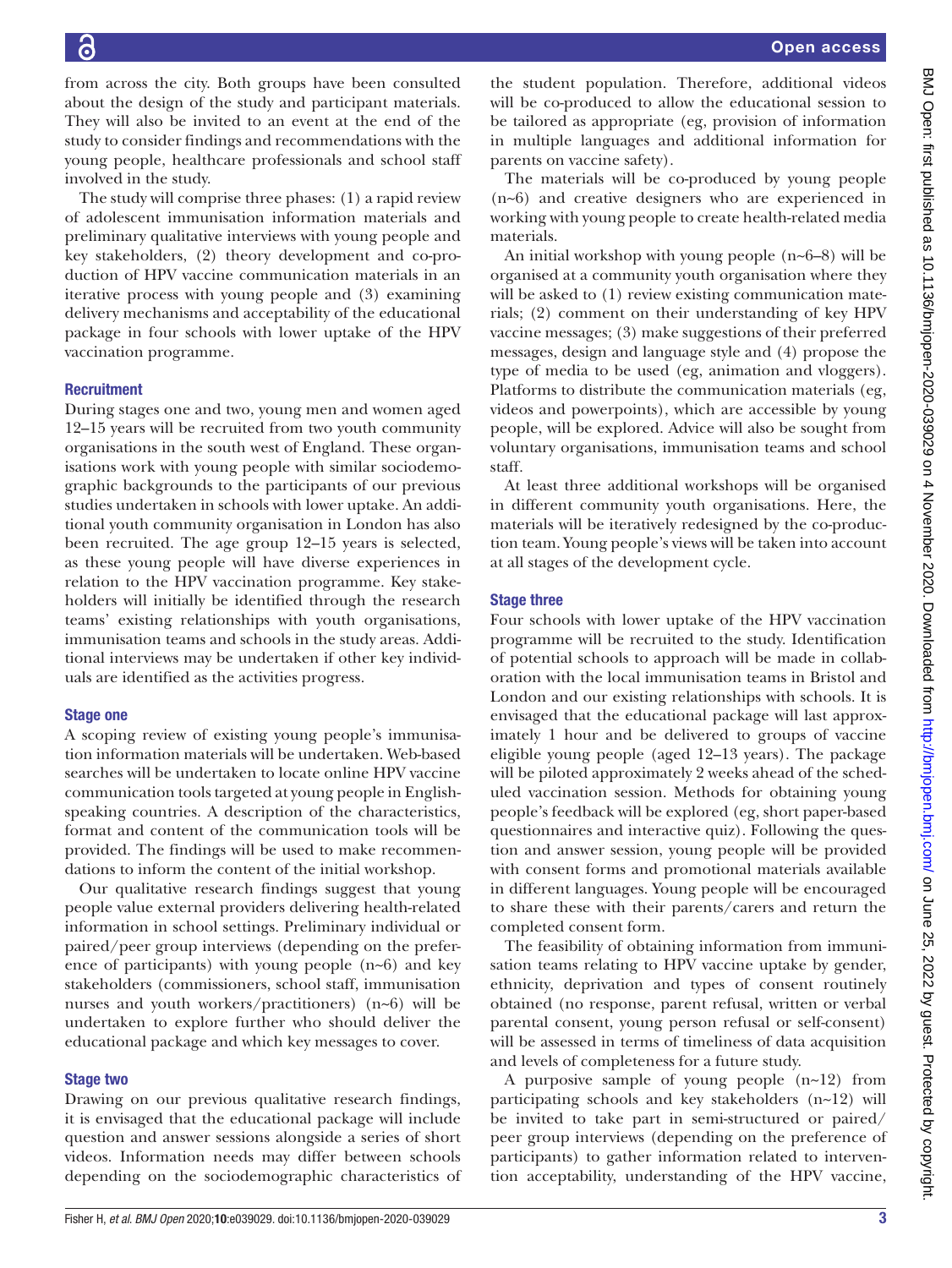from across the city. Both groups have been consulted about the design of the study and participant materials. They will also be invited to an event at the end of the study to consider findings and recommendations with the young people, healthcare professionals and school staff involved in the study.

The study will comprise three phases: (1) a rapid review of adolescent immunisation information materials and preliminary qualitative interviews with young people and key stakeholders, (2) theory development and co-production of HPV vaccine communication materials in an iterative process with young people and (3) examining delivery mechanisms and acceptability of the educational package in four schools with lower uptake of the HPV vaccination programme.

# **Recruitment**

During stages one and two, young men and women aged 12–15 years will be recruited from two youth community organisations in the south west of England. These organisations work with young people with similar sociodemographic backgrounds to the participants of our previous studies undertaken in schools with lower uptake. An additional youth community organisation in London has also been recruited. The age group 12–15 years is selected, as these young people will have diverse experiences in relation to the HPV vaccination programme. Key stakeholders will initially be identified through the research teams' existing relationships with youth organisations, immunisation teams and schools in the study areas. Additional interviews may be undertaken if other key individuals are identified as the activities progress.

# Stage one

A scoping review of existing young people's immunisation information materials will be undertaken. Web-based searches will be undertaken to locate online HPV vaccine communication tools targeted at young people in Englishspeaking countries. A description of the characteristics, format and content of the communication tools will be provided. The findings will be used to make recommendations to inform the content of the initial workshop.

Our qualitative research findings suggest that young people value external providers delivering health-related information in school settings. Preliminary individual or paired/peer group interviews (depending on the preference of participants) with young people (n~6) and key stakeholders (commissioners, school staff, immunisation nurses and youth workers/practitioners) (n~6) will be undertaken to explore further who should deliver the educational package and which key messages to cover.

# Stage two

Drawing on our previous qualitative research findings, it is envisaged that the educational package will include question and answer sessions alongside a series of short videos. Information needs may differ between schools depending on the sociodemographic characteristics of

the student population. Therefore, additional videos will be co-produced to allow the educational session to be tailored as appropriate (eg, provision of information in multiple languages and additional information for parents on vaccine safety).

The materials will be co-produced by young people (n~6) and creative designers who are experienced in working with young people to create health-related media materials.

An initial workshop with young people (n~6–8) will be organised at a community youth organisation where they will be asked to  $(1)$  review existing communication materials; (2) comment on their understanding of key HPV vaccine messages; (3) make suggestions of their preferred messages, design and language style and (4) propose the type of media to be used (eg, animation and vloggers). Platforms to distribute the communication materials (eg, videos and powerpoints), which are accessible by young people, will be explored. Advice will also be sought from voluntary organisations, immunisation teams and school staff.

At least three additional workshops will be organised in different community youth organisations. Here, the materials will be iteratively redesigned by the co-production team. Young people's views will be taken into account at all stages of the development cycle.

# Stage three

Four schools with lower uptake of the HPV vaccination programme will be recruited to the study. Identification of potential schools to approach will be made in collaboration with the local immunisation teams in Bristol and London and our existing relationships with schools. It is envisaged that the educational package will last approximately 1 hour and be delivered to groups of vaccine eligible young people (aged 12–13 years). The package will be piloted approximately 2 weeks ahead of the scheduled vaccination session. Methods for obtaining young people's feedback will be explored (eg, short paper-based questionnaires and interactive quiz). Following the question and answer session, young people will be provided with consent forms and promotional materials available in different languages. Young people will be encouraged to share these with their parents/carers and return the completed consent form.

The feasibility of obtaining information from immunisation teams relating to HPV vaccine uptake by gender, ethnicity, deprivation and types of consent routinely obtained (no response, parent refusal, written or verbal parental consent, young person refusal or self-consent) will be assessed in terms of timeliness of data acquisition and levels of completeness for a future study.

A purposive sample of young people (n~12) from participating schools and key stakeholders (n~12) will be invited to take part in semi-structured or paired/ peer group interviews (depending on the preference of participants) to gather information related to intervention acceptability, understanding of the HPV vaccine,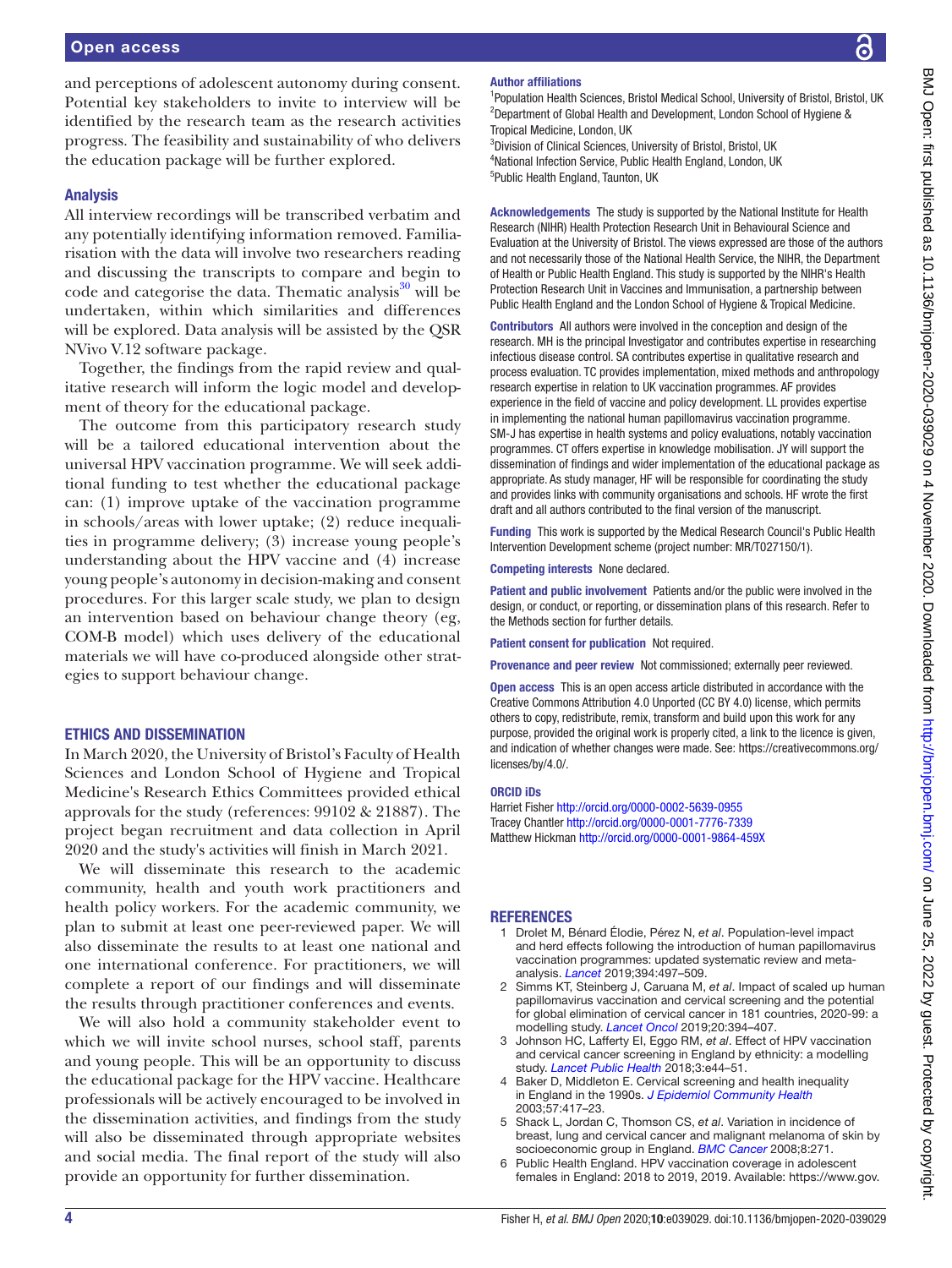and perceptions of adolescent autonomy during consent. Potential key stakeholders to invite to interview will be identified by the research team as the research activities progress. The feasibility and sustainability of who delivers the education package will be further explored.

## Analysis

All interview recordings will be transcribed verbatim and any potentially identifying information removed. Familiarisation with the data will involve two researchers reading and discussing the transcripts to compare and begin to code and categorise the data. Thematic analysis $30$  will be undertaken, within which similarities and differences will be explored. Data analysis will be assisted by the QSR NVivo V.12 software package.

Together, the findings from the rapid review and qualitative research will inform the logic model and development of theory for the educational package.

The outcome from this participatory research study will be a tailored educational intervention about the universal HPV vaccination programme. We will seek additional funding to test whether the educational package can: (1) improve uptake of the vaccination programme in schools/areas with lower uptake; (2) reduce inequalities in programme delivery; (3) increase young people's understanding about the HPV vaccine and (4) increase young people's autonomy in decision-making and consent procedures. For this larger scale study, we plan to design an intervention based on behaviour change theory (eg, COM-B model) which uses delivery of the educational materials we will have co-produced alongside other strategies to support behaviour change.

### ETHICS AND DISSEMINATION

In March 2020, the University of Bristol's Faculty of Health Sciences and London School of Hygiene and Tropical Medicine's Research Ethics Committees provided ethical approvals for the study (references: 99102 & 21887). The project began recruitment and data collection in April 2020 and the study's activities will finish in March 2021.

We will disseminate this research to the academic community, health and youth work practitioners and health policy workers. For the academic community, we plan to submit at least one peer-reviewed paper. We will also disseminate the results to at least one national and one international conference. For practitioners, we will complete a report of our findings and will disseminate the results through practitioner conferences and events.

We will also hold a community stakeholder event to which we will invite school nurses, school staff, parents and young people. This will be an opportunity to discuss the educational package for the HPV vaccine. Healthcare professionals will be actively encouraged to be involved in the dissemination activities, and findings from the study will also be disseminated through appropriate websites and social media. The final report of the study will also provide an opportunity for further dissemination.

#### Author affiliations

<sup>1</sup>Population Health Sciences, Bristol Medical School, University of Bristol, Bristol, UK <sup>2</sup>Department of Global Health and Development, London School of Hygiene & Tropical Medicine, London, UK

3 Division of Clinical Sciences, University of Bristol, Bristol, UK 4 National Infection Service, Public Health England, London, UK 5 Public Health England, Taunton, UK

Acknowledgements The study is supported by the National Institute for Health Research (NIHR) Health Protection Research Unit in Behavioural Science and Evaluation at the University of Bristol. The views expressed are those of the authors and not necessarily those of the National Health Service, the NIHR, the Department of Health or Public Health England. This study is supported by the NIHR's Health Protection Research Unit in Vaccines and Immunisation, a partnership between Public Health England and the London School of Hygiene & Tropical Medicine.

Contributors All authors were involved in the conception and design of the research. MH is the principal Investigator and contributes expertise in researching infectious disease control. SA contributes expertise in qualitative research and process evaluation. TC provides implementation, mixed methods and anthropology research expertise in relation to UK vaccination programmes. AF provides experience in the field of vaccine and policy development. LL provides expertise in implementing the national human papillomavirus vaccination programme. SM-J has expertise in health systems and policy evaluations, notably vaccination programmes. CT offers expertise in knowledge mobilisation. JY will support the dissemination of findings and wider implementation of the educational package as appropriate. As study manager, HF will be responsible for coordinating the study and provides links with community organisations and schools. HF wrote the first draft and all authors contributed to the final version of the manuscript.

Funding This work is supported by the Medical Research Council's Public Health Intervention Development scheme (project number: MR/T027150/1).

Competing interests None declared.

Patient and public involvement Patients and/or the public were involved in the design, or conduct, or reporting, or dissemination plans of this research. Refer to the Methods section for further details.

Patient consent for publication Not required.

Provenance and peer review Not commissioned; externally peer reviewed.

Open access This is an open access article distributed in accordance with the Creative Commons Attribution 4.0 Unported (CC BY 4.0) license, which permits others to copy, redistribute, remix, transform and build upon this work for any purpose, provided the original work is properly cited, a link to the licence is given, and indication of whether changes were made. See: [https://creativecommons.org/](https://creativecommons.org/licenses/by/4.0/) [licenses/by/4.0/](https://creativecommons.org/licenses/by/4.0/).

#### ORCID iDs

Harriet Fisher<http://orcid.org/0000-0002-5639-0955> Tracey Chantler <http://orcid.org/0000-0001-7776-7339> Matthew Hickman<http://orcid.org/0000-0001-9864-459X>

### REFERENCES

- <span id="page-3-0"></span>1 Drolet M, Bénard Élodie, Pérez N, *et al*. Population-level impact and herd effects following the introduction of human papillomavirus vaccination programmes: updated systematic review and metaanalysis. *[Lancet](http://dx.doi.org/10.1016/S0140-6736(19)30298-3)* 2019;394:497–509.
- 2 Simms KT, Steinberg J, Caruana M, *et al*. Impact of scaled up human papillomavirus vaccination and cervical screening and the potential for global elimination of cervical cancer in 181 countries, 2020-99: a modelling study. *[Lancet Oncol](http://dx.doi.org/10.1016/S1470-2045(18)30836-2)* 2019;20:394–407.
- <span id="page-3-1"></span>3 Johnson HC, Lafferty EI, Eggo RM, *et al*. Effect of HPV vaccination and cervical cancer screening in England by ethnicity: a modelling study. [Lancet Public Health](http://dx.doi.org/10.1016/S2468-2667(17)30238-4) 2018;3:e44-51.
- Baker D, Middleton E. Cervical screening and health inequality in England in the 1990s. *[J Epidemiol Community Health](http://dx.doi.org/10.1136/jech.57.6.417)* 2003;57:417–23.
- 5 Shack L, Jordan C, Thomson CS, *et al*. Variation in incidence of breast, lung and cervical cancer and malignant melanoma of skin by socioeconomic group in England. *[BMC Cancer](http://dx.doi.org/10.1186/1471-2407-8-271)* 2008;8:271.
- <span id="page-3-2"></span>6 Public Health England. HPV vaccination coverage in adolescent females in England: 2018 to 2019, 2019. Available: [https://www.gov.](https://www.gov.uk/government/statistics/hpv-vaccination-coverage-in-adolescent-females-in-england-2018-to-2019)